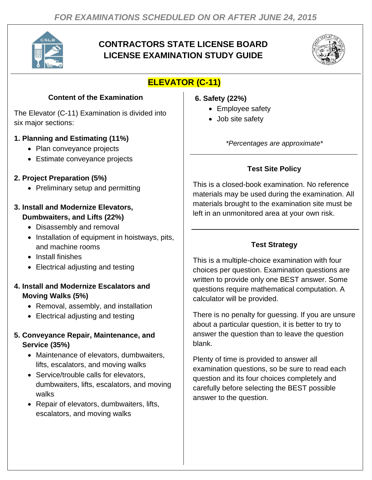

# **CONTRACTORS STATE LICENSE BOARD LICENSE EXAMINATION STUDY GUIDE**



# **ELEVATOR (C-11)**

## **Content of the Examination**

The Elevator (C-11) Examination is divided into six major sections:

### **1. Planning and Estimating (11%)**

- Plan conveyance projects
- Estimate conveyance projects

### **2. Project Preparation (5%)**

• Preliminary setup and permitting

#### **3. Install and Modernize Elevators, Dumbwaiters, and Lifts (22%)**

- Disassembly and removal
- Installation of equipment in hoistways, pits, and machine rooms
- Install finishes
- Electrical adjusting and testing

### **4. Install and Modernize Escalators and Moving Walks (5%)**

- Removal, assembly, and installation
- Electrical adjusting and testing

#### **5. Conveyance Repair, Maintenance, and Service (35%)**

- Maintenance of elevators, dumbwaiters, lifts, escalators, and moving walks
- Service/trouble calls for elevators, dumbwaiters, lifts, escalators, and moving walks
- Repair of elevators, dumbwaiters, lifts, escalators, and moving walks

#### **6. Safety (22%)**

- Employee safety
- Job site safety

*\*Percentages are approximate\**

## **Test Site Policy**

This is a closed-book examination. No reference materials may be used during the examination. All materials brought to the examination site must be left in an unmonitored area at your own risk.

# **Test Strategy**

This is a multiple-choice examination with four choices per question. Examination questions are written to provide only one BEST answer. Some questions require mathematical computation. A calculator will be provided.

There is no penalty for guessing. If you are unsure about a particular question, it is better to try to answer the question than to leave the question blank.

Plenty of time is provided to answer all examination questions, so be sure to read each question and its four choices completely and carefully before selecting the BEST possible answer to the question.